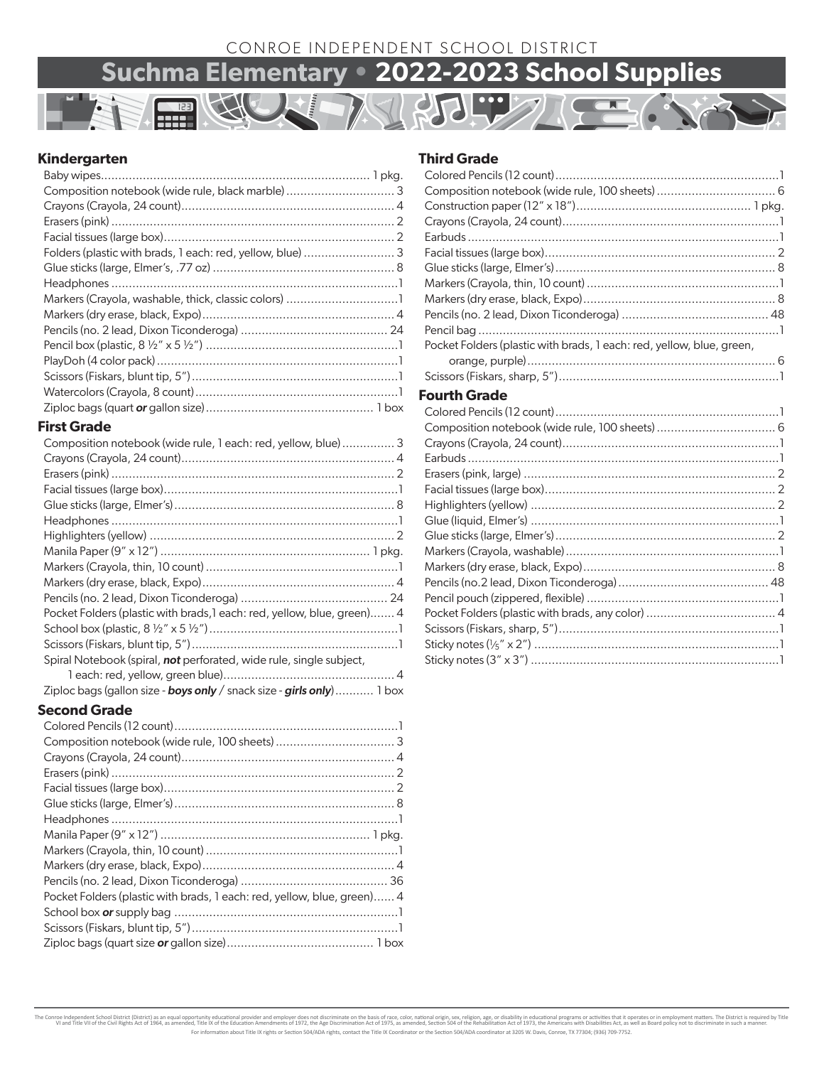### CONROE INDEPENDENT SCHOOL DISTRICT

# **Suchma Elementary • 2022-2023 School Supplies**

### **Kindergarten**

| Composition notebook (wide rule, black marble)  3 |  |
|---------------------------------------------------|--|
|                                                   |  |
|                                                   |  |
|                                                   |  |
|                                                   |  |
|                                                   |  |
|                                                   |  |
|                                                   |  |
|                                                   |  |
|                                                   |  |
|                                                   |  |
|                                                   |  |
|                                                   |  |
|                                                   |  |
|                                                   |  |

### **First Grade**

| Composition notebook (wide rule, 1 each: red, yellow, blue)  3               |
|------------------------------------------------------------------------------|
|                                                                              |
|                                                                              |
|                                                                              |
|                                                                              |
|                                                                              |
|                                                                              |
|                                                                              |
|                                                                              |
|                                                                              |
|                                                                              |
| Pocket Folders (plastic with brads, l each: red, yellow, blue, green) 4      |
|                                                                              |
|                                                                              |
| Spiral Notebook (spiral, not perforated, wide rule, single subject,          |
|                                                                              |
| Ziploc bags (gallon size - <b>boys only</b> / snack size - girls only) 1 box |

### **Second Grade**

| Pocket Folders (plastic with brads, 1 each: red, yellow, blue, green) 4 |  |
|-------------------------------------------------------------------------|--|
|                                                                         |  |
|                                                                         |  |
|                                                                         |  |

### **Third Grade**

| Pocket Folders (plastic with brads, 1 each: red, yellow, blue, green,                                                                                                                                                                                                                                                                                                             |
|-----------------------------------------------------------------------------------------------------------------------------------------------------------------------------------------------------------------------------------------------------------------------------------------------------------------------------------------------------------------------------------|
|                                                                                                                                                                                                                                                                                                                                                                                   |
|                                                                                                                                                                                                                                                                                                                                                                                   |
| Fourth Grade                                                                                                                                                                                                                                                                                                                                                                      |
| $\bigcap$ $\bigcap$ $\bigcap$ $\bigcap$ $\bigcap$ $\bigcap$ $\bigcap$ $\bigcap$ $\bigcap$ $\bigcap$ $\bigcap$ $\bigcap$ $\bigcap$ $\bigcap$ $\bigcap$ $\bigcap$ $\bigcap$ $\bigcap$ $\bigcap$ $\bigcap$ $\bigcap$ $\bigcap$ $\bigcap$ $\bigcap$ $\bigcap$ $\bigcap$ $\bigcap$ $\bigcap$ $\bigcap$ $\bigcap$ $\bigcap$ $\bigcap$ $\bigcap$ $\bigcap$ $\bigcap$ $\bigcap$ $\bigcap$ |

The Conroe Independent School District (District) as an equal opportunity educational provider and employer does not discriminate on the sixts of race, color, national origin, exv. religion, age, or disability in education